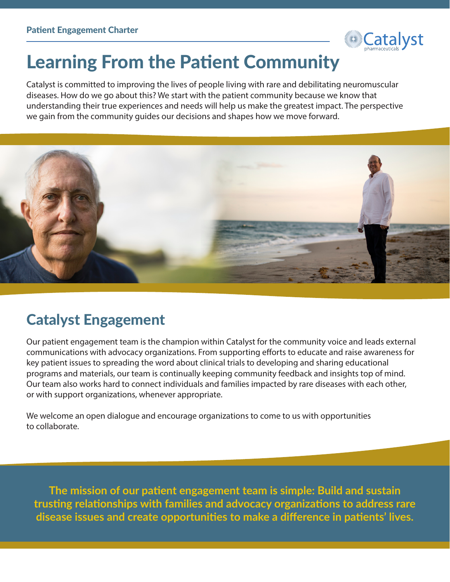

# Learning From the Patient Community

Catalyst is committed to improving the lives of people living with rare and debilitating neuromuscular diseases. How do we go about this? We start with the patient community because we know that understanding their true experiences and needs will help us make the greatest impact. The perspective we gain from the community guides our decisions and shapes how we move forward.



### Catalyst Engagement

Our patient engagement team is the champion within Catalyst for the community voice and leads external communications with advocacy organizations. From supporting efforts to educate and raise awareness for key patient issues to spreading the word about clinical trials to developing and sharing educational programs and materials, our team is continually keeping community feedback and insights top of mind. Our team also works hard to connect individuals and families impacted by rare diseases with each other, or with support organizations, whenever appropriate.

We welcome an open dialogue and encourage organizations to come to us with opportunities to collaborate.

**The mission of our patient engagement team is simple: Build and sustain trusting relationships with families and advocacy organizations to address rare disease issues and create opportunities to make a difference in patients' lives.**